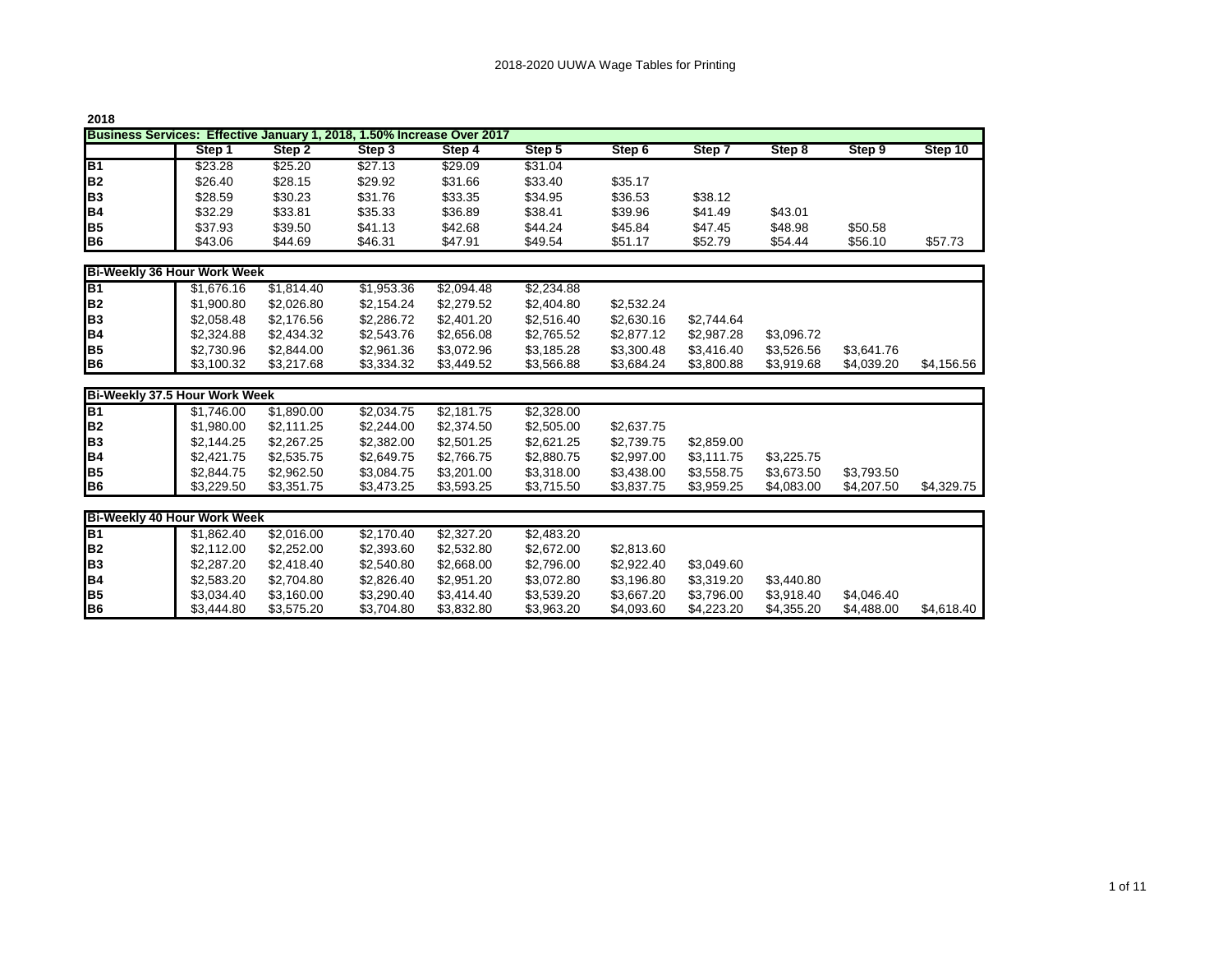| 2018                                                                   |         |         |         |         |         |                   |         |         |         |         |  |  |
|------------------------------------------------------------------------|---------|---------|---------|---------|---------|-------------------|---------|---------|---------|---------|--|--|
| Business Services: Effective January 1, 2018, 1.50% Increase Over 2017 |         |         |         |         |         |                   |         |         |         |         |  |  |
|                                                                        | Step '  | Step 2  | Step 3  | Step 4  | Step 5  | Step <sub>6</sub> | Step    | Step 8  | Step 9  | Step 10 |  |  |
| B <sub>1</sub>                                                         | \$23.28 | \$25.20 | \$27.13 | \$29.09 | \$31.04 |                   |         |         |         |         |  |  |
| B <sub>2</sub>                                                         | \$26.40 | \$28.15 | \$29.92 | \$31.66 | \$33.40 | \$35.17           |         |         |         |         |  |  |
| B <sub>3</sub>                                                         | \$28.59 | \$30.23 | \$31.76 | \$33.35 | \$34.95 | \$36.53           | \$38.12 |         |         |         |  |  |
| B <sub>4</sub>                                                         | \$32.29 | \$33.81 | \$35.33 | \$36.89 | \$38.41 | \$39.96           | \$41.49 | \$43.01 |         |         |  |  |
| B <sub>5</sub>                                                         | \$37.93 | \$39.50 | \$41.13 | \$42.68 | \$44.24 | \$45.84           | \$47.45 | \$48.98 | \$50.58 |         |  |  |
| B <sub>6</sub>                                                         | \$43.06 | \$44.69 | \$46.31 | \$47.91 | \$49.54 | \$51.17           | \$52.79 | \$54.44 | \$56.10 | \$57.73 |  |  |

| Bi-Weekly 36 Hour Work Week |            |            |            |            |            |            |            |            |            |            |  |
|-----------------------------|------------|------------|------------|------------|------------|------------|------------|------------|------------|------------|--|
| B <sub>1</sub>              | \$1,676.16 | \$1.814.40 | \$1,953,36 | \$2.094.48 | \$2,234.88 |            |            |            |            |            |  |
| lB <sub>2</sub>             | \$1,900.80 | \$2.026.80 | \$2.154.24 | \$2,279.52 | \$2,404.80 | \$2.532.24 |            |            |            |            |  |
| lвз                         | \$2,058.48 | \$2,176.56 | \$2,286,72 | \$2,401.20 | \$2,516.40 | \$2,630.16 | \$2.744.64 |            |            |            |  |
| B <sub>4</sub>              | \$2,324.88 | \$2,434.32 | \$2,543.76 | \$2,656.08 | \$2,765.52 | \$2,877.12 | \$2.987.28 | \$3.096.72 |            |            |  |
| IB5                         | \$2,730.96 | \$2.844.00 | \$2,961.36 | \$3,072.96 | \$3,185.28 | \$3,300.48 | \$3.416.40 | \$3.526.56 | \$3.641.76 |            |  |
| B <sub>6</sub>              | \$3,100.32 | \$3,217.68 | \$3,334.32 | \$3,449.52 | \$3,566.88 | \$3.684.24 | \$3.800.88 | \$3.919.68 | \$4.039.20 | \$4,156.56 |  |

| Bi-Weekly 37.5 Hour Work Week |            |            |            |            |            |            |            |            |            |            |  |  |
|-------------------------------|------------|------------|------------|------------|------------|------------|------------|------------|------------|------------|--|--|
| IB1                           | \$1.746.00 | \$1.890.00 | \$2,034.75 | \$2.181.75 | \$2,328,00 |            |            |            |            |            |  |  |
| B <sub>2</sub>                | \$1,980.00 | \$2,111.25 | \$2,244.00 | \$2,374.50 | \$2,505.00 | \$2,637.75 |            |            |            |            |  |  |
| B <sub>3</sub>                | \$2.144.25 | \$2,267.25 | \$2,382.00 | \$2,501.25 | \$2.621.25 | \$2.739.75 | \$2.859.00 |            |            |            |  |  |
| IB4                           | \$2,421.75 | \$2,535.75 | \$2.649.75 | \$2.766.75 | \$2,880.75 | \$2,997.00 | \$3.111.75 | \$3.225.75 |            |            |  |  |
| IB5                           | \$2,844.75 | \$2,962.50 | \$3.084.75 | \$3,201.00 | \$3,318.00 | \$3,438,00 | \$3,558.75 | \$3.673.50 | \$3,793.50 |            |  |  |
| B <sub>6</sub>                | \$3,229.50 | \$3.351.75 | \$3.473.25 | \$3.593.25 | \$3,715.50 | \$3,837,75 | \$3.959.25 | \$4.083.00 | \$4.207.50 | \$4,329.75 |  |  |

| <b>Bi-Weekly 40 Hour Work Week</b> |            |            |            |            |            |            |            |            |            |            |
|------------------------------------|------------|------------|------------|------------|------------|------------|------------|------------|------------|------------|
| IB <sub>1</sub>                    | \$1.862.40 | \$2,016,00 | \$2.170.40 | \$2,327,20 | \$2,483.20 |            |            |            |            |            |
| B <sub>2</sub>                     | \$2,112,00 | \$2,252,00 | \$2,393.60 | \$2,532.80 | \$2,672,00 | \$2,813,60 |            |            |            |            |
| <b>B</b> 3                         | \$2,287.20 | \$2.418.40 | \$2,540.80 | \$2,668,00 | \$2.796.00 | \$2.922.40 | \$3.049.60 |            |            |            |
| B <sub>4</sub>                     | \$2,583.20 | \$2,704.80 | \$2,826,40 | \$2,951.20 | \$3.072.80 | \$3.196.80 | \$3.319.20 | \$3.440.80 |            |            |
| IB <sub>5</sub>                    | \$3.034.40 | \$3.160.00 | \$3,290.40 | \$3.414.40 | \$3,539.20 | \$3.667.20 | \$3.796.00 | \$3.918.40 | \$4.046.40 |            |
| <b>B</b> <sub>6</sub>              | \$3,444.80 | \$3.575.20 | \$3,704.80 | \$3,832.80 | \$3,963.20 | \$4,093.60 | \$4.223.20 | \$4.355.20 | \$4,488,00 | \$4,618.40 |

1 of 11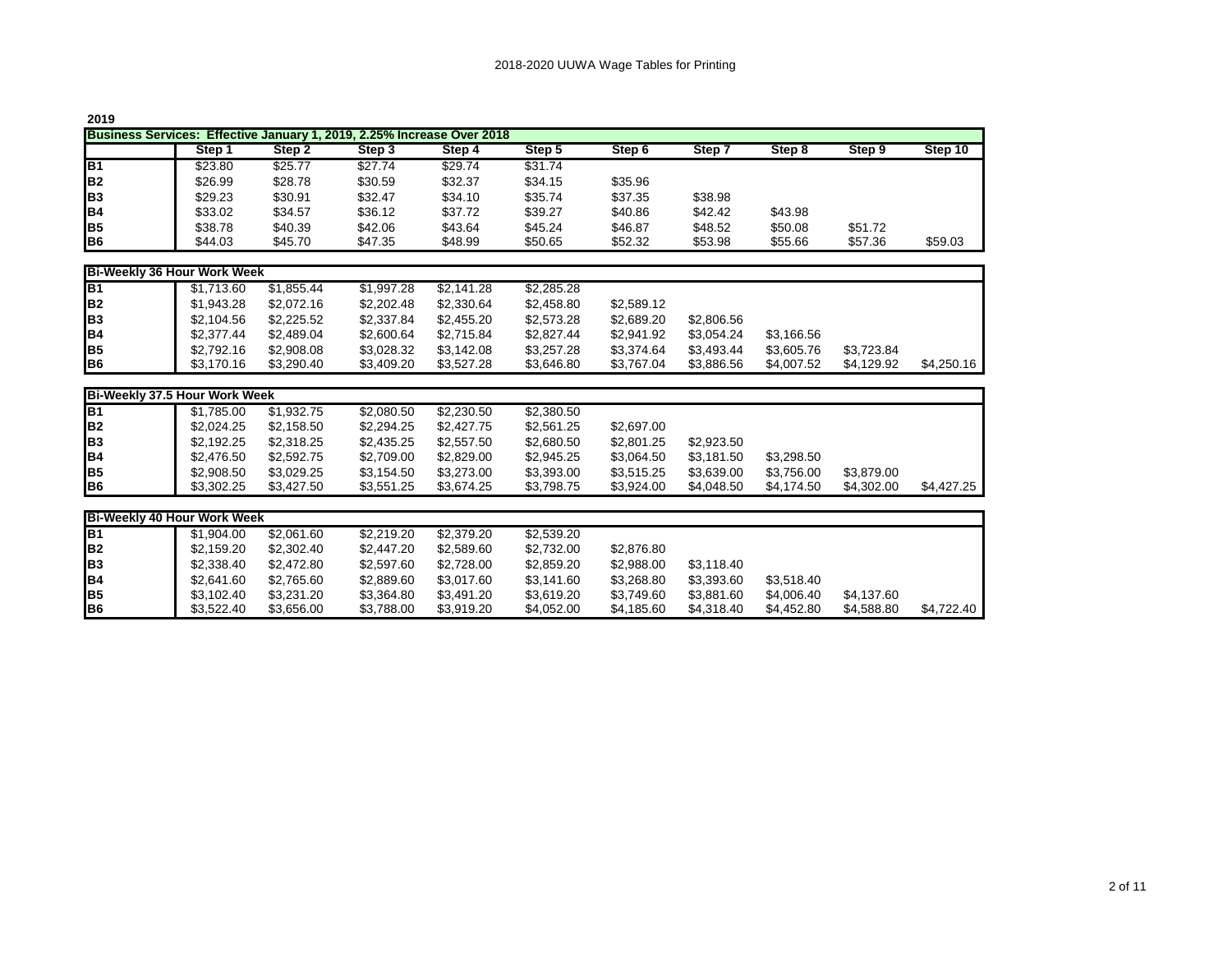|--|--|

| ---                                                                    |         |         |         |         |         |                   |         |         |         |         |  |  |
|------------------------------------------------------------------------|---------|---------|---------|---------|---------|-------------------|---------|---------|---------|---------|--|--|
| Business Services: Effective January 1, 2019, 2.25% Increase Over 2018 |         |         |         |         |         |                   |         |         |         |         |  |  |
|                                                                        | Step    | Step 2  | Step 3  | Step 4  | Step 5  | Step <sub>6</sub> | Step    | Step 8  | Step 9  | Step 10 |  |  |
| IB <sub>1</sub>                                                        | \$23.80 | \$25.77 | \$27.74 | \$29.74 | \$31.74 |                   |         |         |         |         |  |  |
| B <sub>2</sub>                                                         | \$26.99 | \$28.78 | \$30.59 | \$32.37 | \$34.15 | \$35.96           |         |         |         |         |  |  |
| B <sub>3</sub>                                                         | \$29.23 | \$30.91 | \$32.47 | \$34.10 | \$35.74 | \$37.35           | \$38.98 |         |         |         |  |  |
| B <sub>4</sub>                                                         | \$33.02 | \$34.57 | \$36.12 | \$37.72 | \$39.27 | \$40.86           | \$42.42 | \$43.98 |         |         |  |  |
| B <sub>5</sub>                                                         | \$38.78 | \$40.39 | \$42.06 | \$43.64 | \$45.24 | \$46.87           | \$48.52 | \$50.08 | \$51.72 |         |  |  |
| B <sub>6</sub>                                                         | \$44.03 | \$45.70 | \$47.35 | \$48.99 | \$50.65 | \$52.32           | \$53.98 | \$55.66 | \$57.36 | \$59.03 |  |  |

| Bi-Weekly 36 Hour Work Week |            |            |            |            |            |            |            |            |            |            |  |
|-----------------------------|------------|------------|------------|------------|------------|------------|------------|------------|------------|------------|--|
| B <sub>1</sub>              | \$1.713.60 | \$1.855.44 | \$1,997.28 | \$2.141.28 | \$2,285.28 |            |            |            |            |            |  |
| lB <sub>2</sub>             | \$1,943.28 | \$2.072.16 | \$2,202.48 | \$2.330.64 | \$2,458.80 | \$2,589.12 |            |            |            |            |  |
| lвз                         | \$2,104.56 | \$2,225.52 | \$2,337.84 | \$2,455.20 | \$2,573.28 | \$2,689.20 | \$2,806.56 |            |            |            |  |
| B <sub>4</sub>              | \$2,377.44 | \$2.489.04 | \$2,600.64 | \$2.715.84 | \$2.827.44 | \$2,941.92 | \$3.054.24 | \$3.166.56 |            |            |  |
| lB5                         | \$2,792.16 | \$2,908.08 | \$3.028.32 | \$3.142.08 | \$3.257.28 | \$3.374.64 | \$3.493.44 | \$3.605.76 | \$3.723.84 |            |  |
| B <sub>6</sub>              | \$3,170.16 | \$3,290.40 | \$3,409.20 | \$3.527.28 | \$3.646.80 | \$3,767.04 | \$3.886.56 | \$4,007.52 | \$4.129.92 | \$4,250.16 |  |

| Bi-Weekly 37.5 Hour Work Week |            |            |            |            |            |            |            |            |            |            |  |
|-------------------------------|------------|------------|------------|------------|------------|------------|------------|------------|------------|------------|--|
| <b>B1</b>                     | \$1.785.00 | \$1.932.75 | \$2,080.50 | \$2,230.50 | \$2,380.50 |            |            |            |            |            |  |
| B <sub>2</sub>                | \$2,024.25 | \$2.158.50 | \$2,294.25 | \$2,427.75 | \$2,561.25 | \$2,697.00 |            |            |            |            |  |
| B <sub>3</sub>                | \$2.192.25 | \$2,318.25 | \$2,435.25 | \$2,557.50 | \$2,680.50 | \$2,801.25 | \$2.923.50 |            |            |            |  |
| IB4                           | \$2,476.50 | \$2.592.75 | \$2,709.00 | \$2,829.00 | \$2,945.25 | \$3.064.50 | \$3.181.50 | \$3.298.50 |            |            |  |
| IB <sub>5</sub>               | \$2,908.50 | \$3.029.25 | \$3.154.50 | \$3,273,00 | \$3,393.00 | \$3.515.25 | \$3.639.00 | \$3.756.00 | \$3.879.00 |            |  |
| <b>B</b> <sub>6</sub>         | \$3,302.25 | \$3,427.50 | \$3,551.25 | \$3,674.25 | \$3,798.75 | \$3.924.00 | \$4.048.50 | \$4.174.50 | \$4.302.00 | \$4.427.25 |  |

| <b>Bi-Weekly 40 Hour Work Week</b> |            |            |            |            |            |            |            |            |            |            |
|------------------------------------|------------|------------|------------|------------|------------|------------|------------|------------|------------|------------|
| <b>B</b> <sub>1</sub>              | \$1,904.00 | \$2.061.60 | \$2,219.20 | \$2.379.20 | \$2,539.20 |            |            |            |            |            |
| B <sub>2</sub>                     | \$2.159.20 | \$2,302.40 | \$2.447.20 | \$2.589.60 | \$2.732.00 | \$2,876.80 |            |            |            |            |
| <b>B</b> 3                         | \$2,338.40 | \$2,472.80 | \$2,597.60 | \$2.728.00 | \$2,859.20 | \$2.988.00 | \$3.118.40 |            |            |            |
| IB4                                | \$2,641.60 | \$2.765.60 | \$2,889.60 | \$3.017.60 | \$3,141.60 | \$3,268.80 | \$3.393.60 | \$3.518.40 |            |            |
| B <sub>5</sub>                     | \$3,102.40 | \$3.231.20 | \$3,364.80 | \$3.491.20 | \$3,619.20 | \$3,749.60 | \$3,881.60 | \$4,006.40 | \$4.137.60 |            |
| B <sub>6</sub>                     | \$3.522.40 | \$3.656.00 | \$3,788.00 | \$3,919.20 | \$4,052.00 | \$4,185.60 | \$4,318,40 | \$4.452.80 | \$4.588.80 | \$4.722.40 |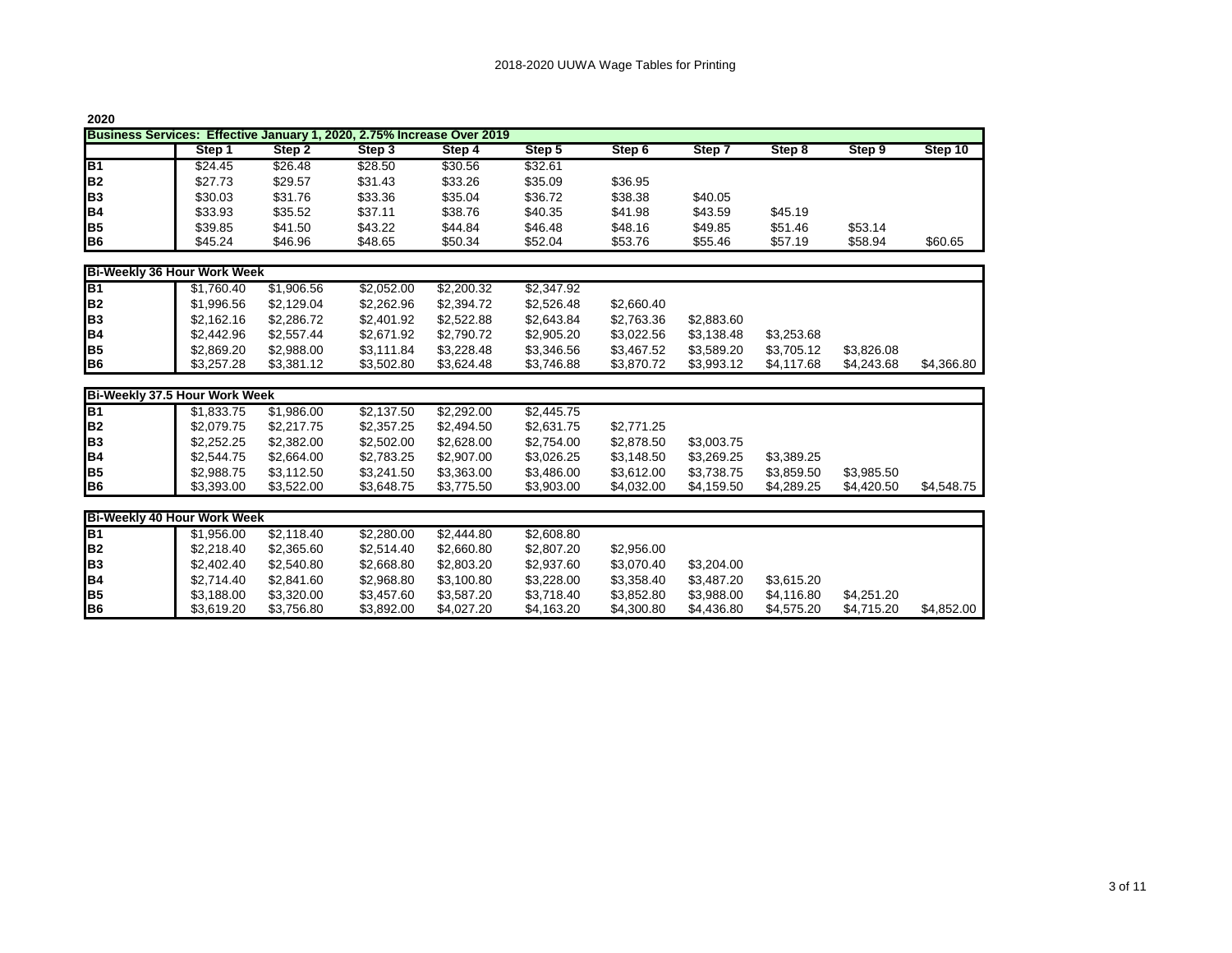| 2020                                                                             |         |         |         |         |         |         |         |         |         |         |  |  |  |
|----------------------------------------------------------------------------------|---------|---------|---------|---------|---------|---------|---------|---------|---------|---------|--|--|--|
| Effective January 1, 2020, 2.75% Increase Over 2019<br><b>Business Services:</b> |         |         |         |         |         |         |         |         |         |         |  |  |  |
|                                                                                  | Step 1  | Step 2  | Step 3  | Step 4  | Step 5  | Step 6  | Step 7  | Step 8  | Step 9  | Step 10 |  |  |  |
| B <sub>1</sub>                                                                   | \$24.45 | \$26.48 | \$28.50 | \$30.56 | \$32.61 |         |         |         |         |         |  |  |  |
| IB <sub>2</sub>                                                                  | \$27.73 | \$29.57 | \$31.43 | \$33.26 | \$35.09 | \$36.95 |         |         |         |         |  |  |  |
| IB <sub>3</sub>                                                                  | \$30.03 | \$31.76 | \$33.36 | \$35.04 | \$36.72 | \$38.38 | \$40.05 |         |         |         |  |  |  |
| IB4                                                                              | \$33.93 | \$35.52 | \$37.11 | \$38.76 | \$40.35 | \$41.98 | \$43.59 | \$45.19 |         |         |  |  |  |
| IB <sub>5</sub>                                                                  | \$39.85 | \$41.50 | \$43.22 | \$44.84 | \$46.48 | \$48.16 | \$49.85 | \$51.46 | \$53.14 |         |  |  |  |
| IB6                                                                              | \$45.24 | \$46.96 | \$48.65 | \$50.34 | \$52.04 | \$53.76 | \$55.46 | \$57.19 | \$58.94 | \$60.65 |  |  |  |

| Bi-Weekly 36 Hour Work Week |            |            |            |            |            |            |            |            |            |            |
|-----------------------------|------------|------------|------------|------------|------------|------------|------------|------------|------------|------------|
| B1                          | \$1.760.40 | \$1,906.56 | \$2.052.00 | \$2,200.32 | \$2,347.92 |            |            |            |            |            |
| lB <sub>2</sub>             | \$1,996.56 | \$2.129.04 | \$2,262.96 | \$2,394.72 | \$2,526.48 | \$2,660,40 |            |            |            |            |
| lвз                         | \$2,162.16 | \$2,286,72 | \$2,401.92 | \$2,522.88 | \$2.643.84 | \$2.763.36 | \$2,883,60 |            |            |            |
| B <sub>4</sub>              | \$2.442.96 | \$2,557.44 | \$2,671.92 | \$2.790.72 | \$2,905.20 | \$3.022.56 | \$3.138.48 | \$3.253.68 |            |            |
| IB5                         | \$2,869.20 | \$2,988,00 | \$3,111.84 | \$3,228.48 | \$3,346.56 | \$3.467.52 | \$3,589.20 | \$3,705.12 | \$3.826.08 |            |
| B <sub>6</sub>              | \$3,257,28 | \$3,381.12 | \$3,502.80 | \$3,624.48 | \$3,746.88 | \$3,870.72 | \$3.993.12 | \$4,117,68 | \$4.243.68 | \$4,366.80 |

| Bi-Weekly 37.5 Hour Work Week |            |            |            |            |            |            |            |            |            |            |  |  |
|-------------------------------|------------|------------|------------|------------|------------|------------|------------|------------|------------|------------|--|--|
| IB1                           | \$1.833.75 | \$1.986.00 | \$2.137.50 | \$2,292.00 | \$2,445.75 |            |            |            |            |            |  |  |
| B <sub>2</sub>                | \$2,079.75 | \$2,217.75 | \$2,357.25 | \$2,494.50 | \$2,631.75 | \$2,771.25 |            |            |            |            |  |  |
| IB <sub>3</sub>               | \$2,252,25 | \$2,382.00 | \$2,502.00 | \$2,628,00 | \$2.754.00 | \$2,878.50 | \$3,003.75 |            |            |            |  |  |
| B <sub>4</sub>                | \$2,544.75 | \$2,664.00 | \$2.783.25 | \$2,907.00 | \$3.026.25 | \$3.148.50 | \$3.269.25 | \$3.389.25 |            |            |  |  |
| IB5                           | \$2,988.75 | \$3,112.50 | \$3.241.50 | \$3,363.00 | \$3,486,00 | \$3.612.00 | \$3.738.75 | \$3.859.50 | \$3.985.50 |            |  |  |
| B <sub>6</sub>                | \$3,393,00 | \$3,522.00 | \$3.648.75 | \$3,775.50 | \$3.903.00 | \$4.032.00 | \$4.159.50 | \$4.289.25 | \$4.420.50 | \$4,548,75 |  |  |

| <b>Bi-Weekly 40 Hour Work Week</b> |            |            |            |            |            |            |            |            |            |            |
|------------------------------------|------------|------------|------------|------------|------------|------------|------------|------------|------------|------------|
| IB <sub>1</sub>                    | \$1,956.00 | \$2,118,40 | \$2,280.00 | \$2,444.80 | \$2,608.80 |            |            |            |            |            |
| B <sub>2</sub>                     | \$2,218,40 | \$2,365.60 | \$2,514.40 | \$2,660.80 | \$2,807.20 | \$2,956.00 |            |            |            |            |
| <b>B</b> 3                         | \$2,402.40 | \$2,540.80 | \$2,668.80 | \$2,803.20 | \$2,937.60 | \$3.070.40 | \$3.204.00 |            |            |            |
| B <sub>4</sub>                     | \$2,714.40 | \$2,841.60 | \$2,968.80 | \$3,100.80 | \$3,228,00 | \$3.358.40 | \$3.487.20 | \$3.615.20 |            |            |
| IB <sub>5</sub>                    | \$3.188.00 | \$3,320,00 | \$3,457.60 | \$3,587.20 | \$3,718.40 | \$3.852.80 | \$3.988.00 | \$4.116.80 | \$4.251.20 |            |
| <b>B</b> <sub>6</sub>              | \$3.619.20 | \$3.756.80 | \$3,892.00 | \$4.027.20 | \$4,163.20 | \$4,300.80 | \$4.436.80 | \$4.575.20 | \$4.715.20 | \$4,852,00 |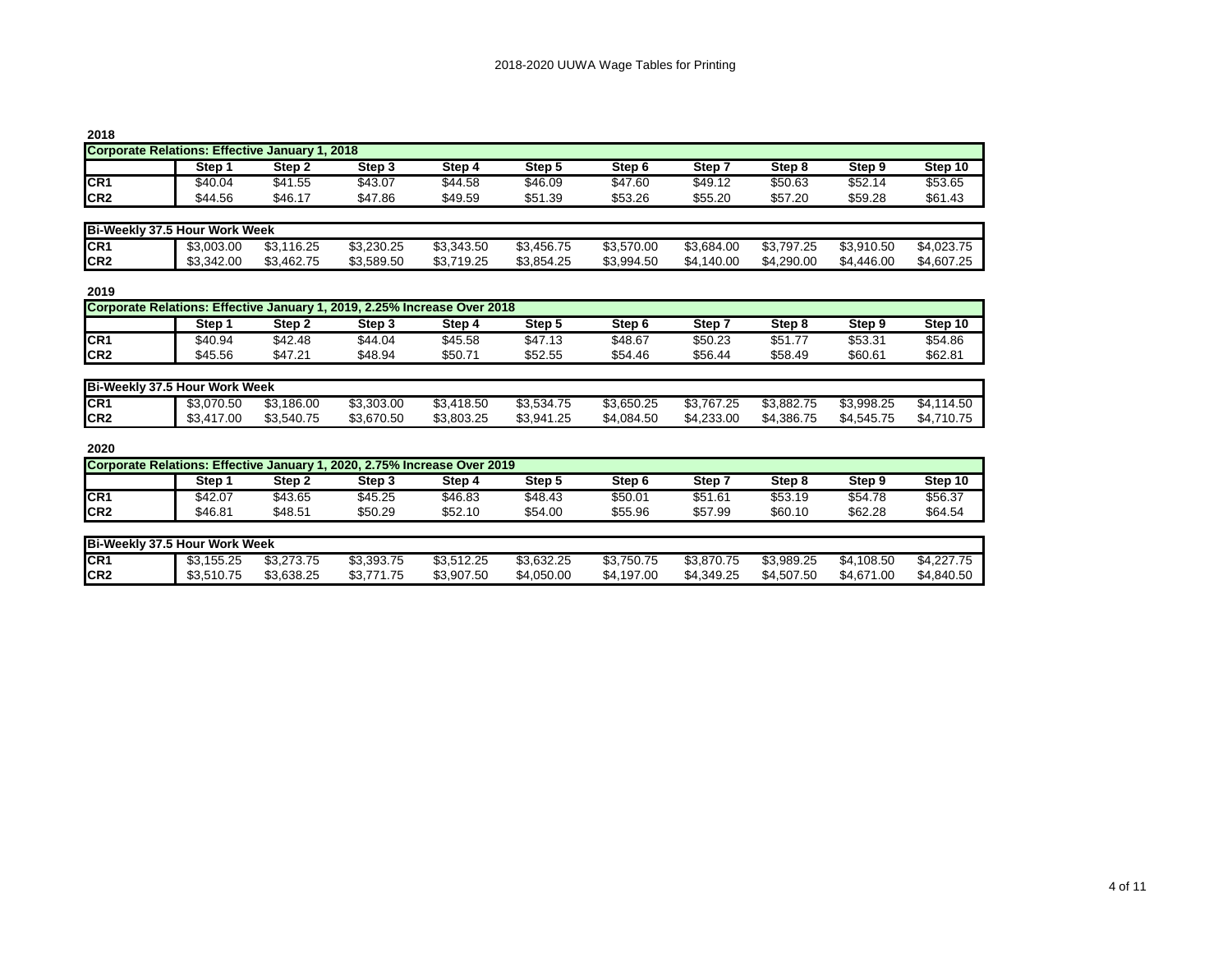| 2018                                           |         |         |         |         |         |         |         |         |         |         |  |
|------------------------------------------------|---------|---------|---------|---------|---------|---------|---------|---------|---------|---------|--|
| Corporate Relations: Effective January 1, 2018 |         |         |         |         |         |         |         |         |         |         |  |
|                                                | Step    | Step 2  | Step 3  | Step 4  | Step 5  | Step 6  | Step 7  | Step 8  | Step 9  | Step 10 |  |
| CR <sub>1</sub>                                | \$40.04 | \$41.55 | \$43.07 | \$44.58 | \$46.09 | \$47.60 | \$49.12 | \$50.63 | \$52.14 | \$53.65 |  |
| CR <sub>2</sub>                                | \$44.56 | \$46.17 | \$47.86 | \$49.59 | \$51.39 | \$53.26 | \$55.20 | \$57.20 | \$59.28 | \$61.43 |  |

| <b>Bi-Weekly 37.5 Hour Work Week</b> |            |                 |            |                  |            |            |            |            |            |            |
|--------------------------------------|------------|-----------------|------------|------------------|------------|------------|------------|------------|------------|------------|
| CR <sub>1</sub>                      | \$3.003.00 | .116.25<br>\$3. | \$3.230.25 | \$3,343.50       | \$3,456.75 | \$3,570.00 | \$3,684.00 | \$3,797.25 | \$3,910.50 | \$4,023.75 |
| ICR <sub>2</sub>                     | \$3.342.00 | \$3,462.75      | \$3.589.50 | .719.25<br>\$3,7 | \$3,854.25 | \$3,994.50 | \$4,140.00 | \$4,290.00 | \$4,446.00 | \$4,607.25 |

| 2019                                                                     |         |         |         |         |         |                   |         |         |         |         |  |
|--------------------------------------------------------------------------|---------|---------|---------|---------|---------|-------------------|---------|---------|---------|---------|--|
| Corporate Relations: Effective January 1, 2019, 2.25% Increase Over 2018 |         |         |         |         |         |                   |         |         |         |         |  |
|                                                                          | Step    | Step 2  | Step 3  | Step 4  | Step 5  | Step <sub>6</sub> | Step '  | Step 8  | Step 9  | Step 10 |  |
| CR <sub>1</sub>                                                          | \$40.94 | \$42.48 | \$44.04 | \$45.58 | \$47.13 | \$48.67           | \$50.23 | \$51.77 | \$53.31 | \$54.86 |  |
| ICR <sub>2</sub>                                                         | \$45.56 | \$47.21 | \$48.94 | \$50.71 | \$52.55 | \$54.46           | \$56.44 | \$58.49 | \$60.61 | \$62.81 |  |

| <b>Bi-Weekly 37.5 Hour Work Week</b> |                        |                      |            |            |            |            |                |            |            |                  |
|--------------------------------------|------------------------|----------------------|------------|------------|------------|------------|----------------|------------|------------|------------------|
| CR <sub>1</sub>                      | \$3,070.50             | ,186.00<br>ጦጣ<br>აა. | \$3,303.00 | \$3,418.50 | \$3,534.75 | \$3,650.25 | \$3<br>.767.25 | \$3,882.75 | \$3.998.25 | \$4.1<br>.114.50 |
| ICR <sub>2</sub>                     | ,417.00<br>ሶሳ<br>. 4ت0 | \$3.540.75           | \$3,670.50 | \$3.803.25 | \$3,941.25 | \$4,084.50 | \$4.233.00     | \$4.386.75 | \$4.545.75 | ,710.75<br>\$4.7 |

| Corporate Relations: Effective January 1, 2020, 2.75% Increase Over 2019 |         |         |         |         |         |                   |         |         |         |         |
|--------------------------------------------------------------------------|---------|---------|---------|---------|---------|-------------------|---------|---------|---------|---------|
|                                                                          | Step    | Step 2  | Step 3  | Step 4  | Step !  | Step <sub>6</sub> | Step    | Step 8  | Step 9  | Step 10 |
| CR <sub>1</sub>                                                          | \$42.07 | \$43.65 | \$45.25 | \$46.83 | \$48.43 | \$50.01           | \$51.61 | \$53.19 | \$54.78 | \$56.37 |
| CR <sub>2</sub>                                                          | \$46.81 | \$48.51 | \$50.29 | \$52.10 | \$54.00 | \$55.96           | \$57.99 | \$60.10 | \$62.28 | \$64.54 |

| Bi-Weekly 37.5 Hour Work Week |            |            |                  |            |            |            |            |            |            |            |
|-------------------------------|------------|------------|------------------|------------|------------|------------|------------|------------|------------|------------|
| ICR <sub>1</sub>              | \$3,155.25 | \$3,273.75 | \$3,393.75       | \$3.512.25 | \$3,632.25 | \$3,750.75 | \$3,870.75 | \$3,989.25 | \$4,108.50 | \$4,227.75 |
| ICR <sub>2</sub>              | \$3,510.75 | \$3.638.25 | .771.75<br>\$3., | \$3,907.50 | \$4.050.00 | \$4,197.00 | \$4.349.25 | \$4,507.50 | \$4,671.00 | \$4.840.50 |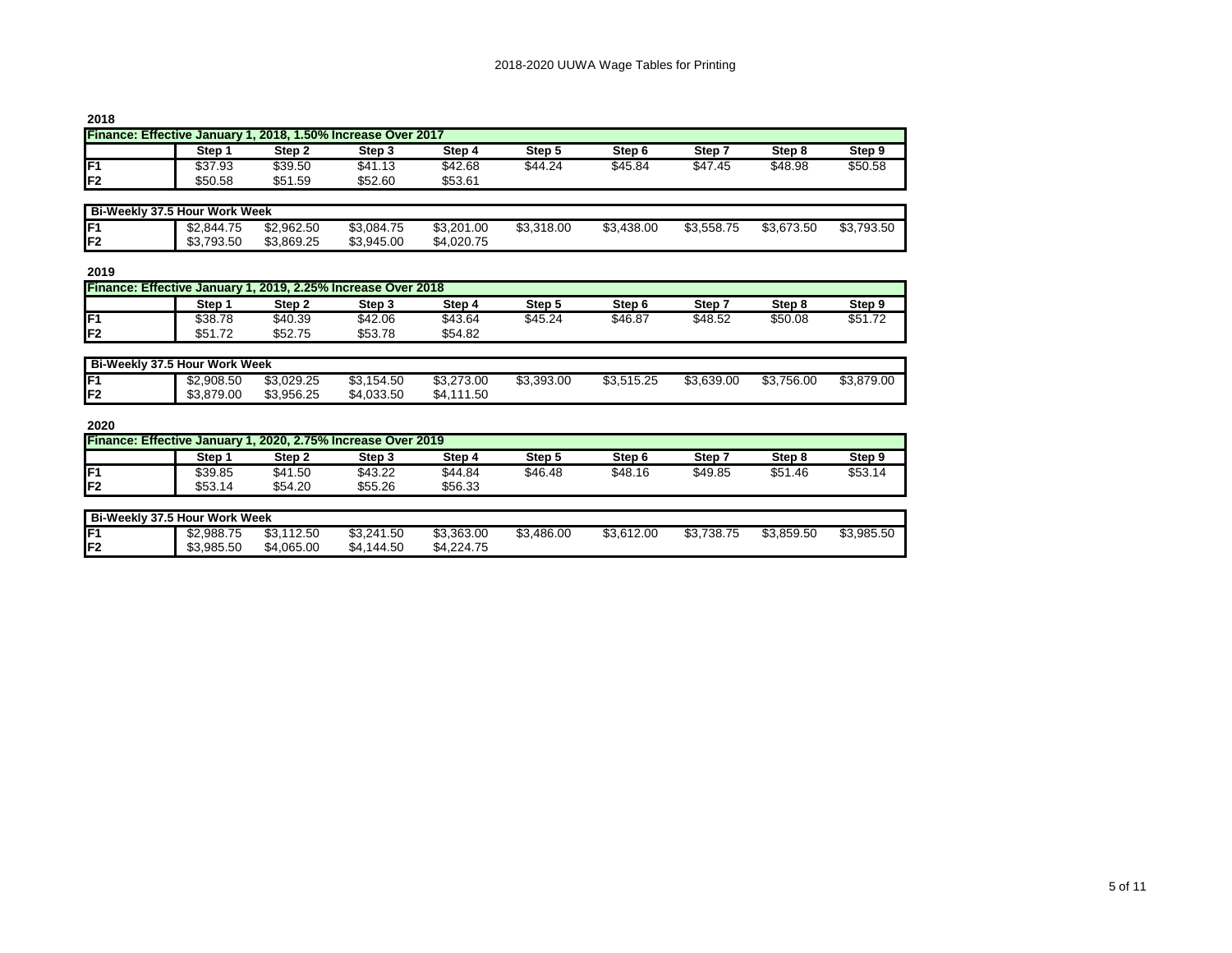| ۰. | ۰.<br>w |
|----|---------|
|----|---------|

| <b>LVIV</b>                                                  |         |         |         |         |         |         |         |         |         |  |  |
|--------------------------------------------------------------|---------|---------|---------|---------|---------|---------|---------|---------|---------|--|--|
| Finance: Effective January 1, 2018, 1.50% Increase Over 2017 |         |         |         |         |         |         |         |         |         |  |  |
|                                                              | Step :  | Step 2  | Step 3  | Step 4  | Step 5  | Step 6  | Step '  | Step 8  | Step 9  |  |  |
| IF1                                                          | \$37.93 | \$39.50 | \$41.13 | \$42.68 | \$44.24 | \$45.84 | \$47.45 | \$48.98 | \$50.58 |  |  |
| IF <sub>2</sub>                                              | \$50.58 | \$51.59 | \$52.60 | \$53.61 |         |         |         |         |         |  |  |

| Bi-Weekly 37.5 Hour Work Week |            |            |            |            |            |            |            |            |            |  |
|-------------------------------|------------|------------|------------|------------|------------|------------|------------|------------|------------|--|
| F1                            | \$2.844.75 | \$2,962.50 | \$3,084.75 | \$3,201.00 | \$3,318.00 | \$3,438.00 | \$3.558.75 | \$3,673.50 | \$3,793.50 |  |
| lF2                           | \$3,793.50 | \$3.869.25 | \$3,945.00 | \$4.020.75 |            |            |            |            |            |  |

| ۰. | I<br>۰. |
|----|---------|
|----|---------|

| Finance: Effective January 1, 2019, 2.25% Increase Over 2018 |         |         |         |         |         |         |         |         |         |  |
|--------------------------------------------------------------|---------|---------|---------|---------|---------|---------|---------|---------|---------|--|
|                                                              | Step 1  | Step 2  | Step 3  | Step 4  | Step 5  | Step 6  | Step    | Step 8  | Step 9  |  |
| IF <sub>1</sub>                                              | \$38.78 | \$40.39 | \$42.06 | \$43.64 | \$45.24 | \$46.87 | \$48.52 | \$50.08 | \$51.72 |  |
| IF <sub>2</sub>                                              | \$51.72 | \$52.75 | \$53.78 | \$54.82 |         |         |         |         |         |  |

|                 | Bi-Weekly 37.5 Hour Work Week |            |            |            |            |            |            |            |            |  |  |  |  |
|-----------------|-------------------------------|------------|------------|------------|------------|------------|------------|------------|------------|--|--|--|--|
| IF1             | \$2,908.50                    | \$3.029.25 | \$3.154.50 | \$3,273.00 | \$3,393.00 | \$3,515.25 | \$3.639.00 | \$3,756.00 | \$3,879.00 |  |  |  |  |
| IF <sub>2</sub> | \$3,879.00                    | \$3.956.25 | \$4,033.50 | \$4,111.50 |            |            |            |            |            |  |  |  |  |

| Finance: Effective January 1, 2020, 2.75% Increase Over 2019 |         |         |         |         |         |         |         |         |                 |  |  |  |
|--------------------------------------------------------------|---------|---------|---------|---------|---------|---------|---------|---------|-----------------|--|--|--|
| Step 9                                                       | Step 8  | Step`   | Step 6  | Step 5  | Step 4  | Step 3  | Step 2  | Step :  |                 |  |  |  |
| \$53.14                                                      | \$51.46 | \$49.85 | \$48.16 | \$46.48 | \$44.84 | \$43.22 | \$41.50 | \$39.85 | IF1             |  |  |  |
|                                                              |         |         |         |         | \$56.33 | \$55.26 | \$54.20 | \$53.14 | IF <sub>2</sub> |  |  |  |
|                                                              |         |         |         |         |         |         |         |         |                 |  |  |  |

| Bi-Weekly 37.5 Hour Work Week |            |                      |            |            |            |            |            |            |            |  |  |
|-------------------------------|------------|----------------------|------------|------------|------------|------------|------------|------------|------------|--|--|
| IF1                           | \$2.988.75 | .112.50<br>ሖሳ<br>υU. | \$3,241.50 | \$3,363.00 | \$3,486.00 | \$3,612.00 | \$3,738.75 | \$3.859.50 | \$3,985.50 |  |  |
| IF <sub>2</sub>               | \$3,985.50 | \$4,065.00           | \$4,144.50 | \$4.224.75 |            |            |            |            |            |  |  |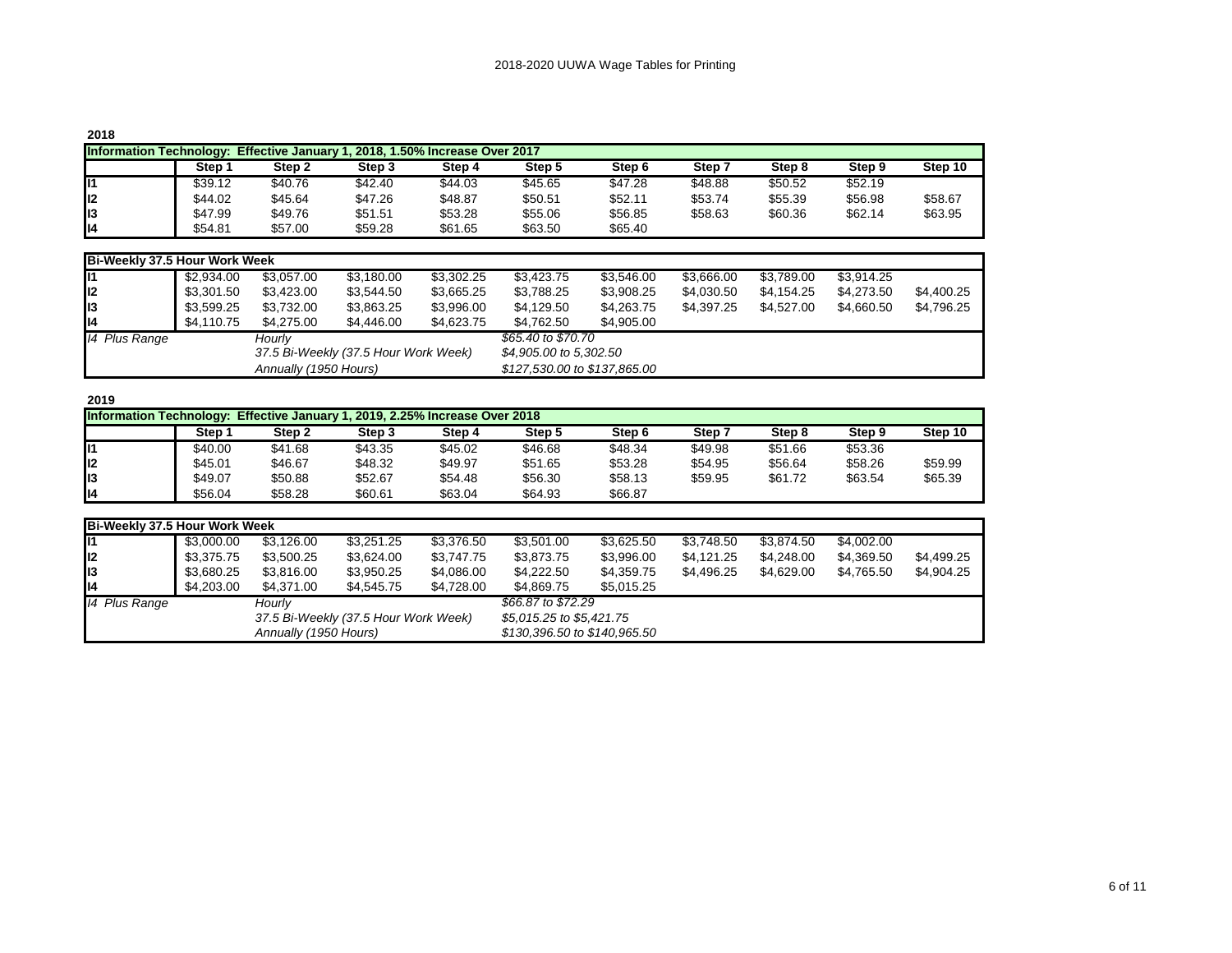| 2018                                                                                  |         |         |         |         |         |         |         |         |         |         |  |  |
|---------------------------------------------------------------------------------------|---------|---------|---------|---------|---------|---------|---------|---------|---------|---------|--|--|
| <b>Information Technology:</b><br>Effective January 1, 2018, 1.50% Increase Over 2017 |         |         |         |         |         |         |         |         |         |         |  |  |
|                                                                                       | Step    | Step 2  | Step 3  | Step 4  | Step 5  | Step 6  | Step 7  | Step 8  | Step 9  | Step 10 |  |  |
| 111                                                                                   | \$39.12 | \$40.76 | \$42.40 | \$44.03 | \$45.65 | \$47.28 | \$48.88 | \$50.52 | \$52.19 |         |  |  |
| ll2                                                                                   | \$44.02 | \$45.64 | \$47.26 | \$48.87 | \$50.51 | \$52.11 | \$53.74 | \$55.39 | \$56.98 | \$58.67 |  |  |
| II3                                                                                   | \$47.99 | \$49.76 | \$51.51 | \$53.28 | \$55.06 | \$56.85 | \$58.63 | \$60.36 | \$62.14 | \$63.95 |  |  |
| ll4                                                                                   | \$54.81 | \$57.00 | \$59.28 | \$61.65 | \$63.50 | \$65.40 |         |         |         |         |  |  |

|                 | <b>Bi-Weekly 37.5 Hour Work Week</b> |                       |                                      |            |                              |            |            |            |            |            |  |  |  |  |  |
|-----------------|--------------------------------------|-----------------------|--------------------------------------|------------|------------------------------|------------|------------|------------|------------|------------|--|--|--|--|--|
| II1             | \$2,934.00                           | \$3,057.00            | \$3,180.00                           | \$3,302.25 | \$3,423.75                   | \$3,546.00 | \$3,666.00 | \$3,789.00 | \$3.914.25 |            |  |  |  |  |  |
| ll <sub>2</sub> | \$3,301.50                           | \$3,423.00            | \$3,544.50                           | \$3,665.25 | \$3,788.25                   | \$3,908.25 | \$4,030.50 | \$4.154.25 | \$4.273.50 | \$4,400.25 |  |  |  |  |  |
| II3             | \$3,599.25                           | \$3,732.00            | \$3,863.25                           | \$3,996.00 | \$4,129.50                   | \$4,263.75 | \$4.397.25 | \$4.527.00 | \$4,660.50 | \$4,796.25 |  |  |  |  |  |
| ll4             | \$4.110.75                           | \$4.275.00            | \$4,446.00                           | \$4,623.75 | \$4,762.50                   | \$4.905.00 |            |            |            |            |  |  |  |  |  |
| 14 Plus Range   |                                      | Hourly                |                                      |            | \$65,40 to \$70.70           |            |            |            |            |            |  |  |  |  |  |
|                 |                                      |                       | 37.5 Bi-Weekly (37.5 Hour Work Week) |            | \$4,905.00 to 5,302.50       |            |            |            |            |            |  |  |  |  |  |
|                 |                                      | Annually (1950 Hours) |                                      |            | \$127,530.00 to \$137,865.00 |            |            |            |            |            |  |  |  |  |  |

|     | Information Technology: Effective January 1, 2019, 2.25% Increase Over 2018 |         |         |         |         |                   |         |         |         |         |  |  |  |  |
|-----|-----------------------------------------------------------------------------|---------|---------|---------|---------|-------------------|---------|---------|---------|---------|--|--|--|--|
|     | <b>Step</b>                                                                 | Step 2  | Step 3  | Step 4  | Step 5  | Step <sub>6</sub> | Step 7  | Step 8  | Step 9  | Step 10 |  |  |  |  |
| ll1 | \$40.00                                                                     | \$41.68 | \$43.35 | \$45.02 | \$46.68 | \$48.34           | \$49.98 | \$51.66 | \$53.36 |         |  |  |  |  |
| ll2 | \$45.01                                                                     | \$46.67 | \$48.32 | \$49.97 | \$51.65 | \$53.28           | \$54.95 | \$56.64 | \$58.26 | \$59.99 |  |  |  |  |
| lı3 | \$49.07                                                                     | \$50.88 | \$52.67 | \$54.48 | \$56.30 | \$58.13           | \$59.95 | \$61.72 | \$63.54 | \$65.39 |  |  |  |  |
| lı4 | \$56.04                                                                     | \$58.28 | \$60.61 | \$63.04 | \$64.93 | \$66.87           |         |         |         |         |  |  |  |  |

|               | Bi-Weekly 37.5 Hour Work Week |                       |                                      |            |                              |            |            |            |            |            |  |  |  |  |
|---------------|-------------------------------|-----------------------|--------------------------------------|------------|------------------------------|------------|------------|------------|------------|------------|--|--|--|--|
| 111           | \$3,000.00                    | \$3,126.00            | \$3.251.25                           | \$3,376.50 | \$3.501.00                   | \$3,625.50 | \$3,748.50 | \$3.874.50 | \$4,002.00 |            |  |  |  |  |
| lı2           | \$3,375.75                    | \$3,500.25            | \$3.624.00                           | \$3,747.75 | \$3.873.75                   | \$3,996.00 | \$4,121.25 | \$4.248.00 | \$4.369.50 | \$4,499.25 |  |  |  |  |
| II3           | \$3.680.25                    | \$3,816.00            | \$3,950.25                           | \$4,086.00 | \$4,222.50                   | \$4,359.75 | \$4,496.25 | \$4.629.00 | \$4.765.50 | \$4,904.25 |  |  |  |  |
| lı4           | \$4,203,00                    | \$4,371,00            | \$4,545.75                           | \$4,728.00 | \$4.869.75                   | \$5.015.25 |            |            |            |            |  |  |  |  |
| 14 Plus Range |                               | Hourlv                |                                      |            | \$66.87 to \$72.29           |            |            |            |            |            |  |  |  |  |
|               |                               |                       | 37.5 Bi-Weekly (37.5 Hour Work Week) |            | \$5,015.25 to \$5,421.75     |            |            |            |            |            |  |  |  |  |
|               |                               | Annually (1950 Hours) |                                      |            | \$130,396.50 to \$140,965.50 |            |            |            |            |            |  |  |  |  |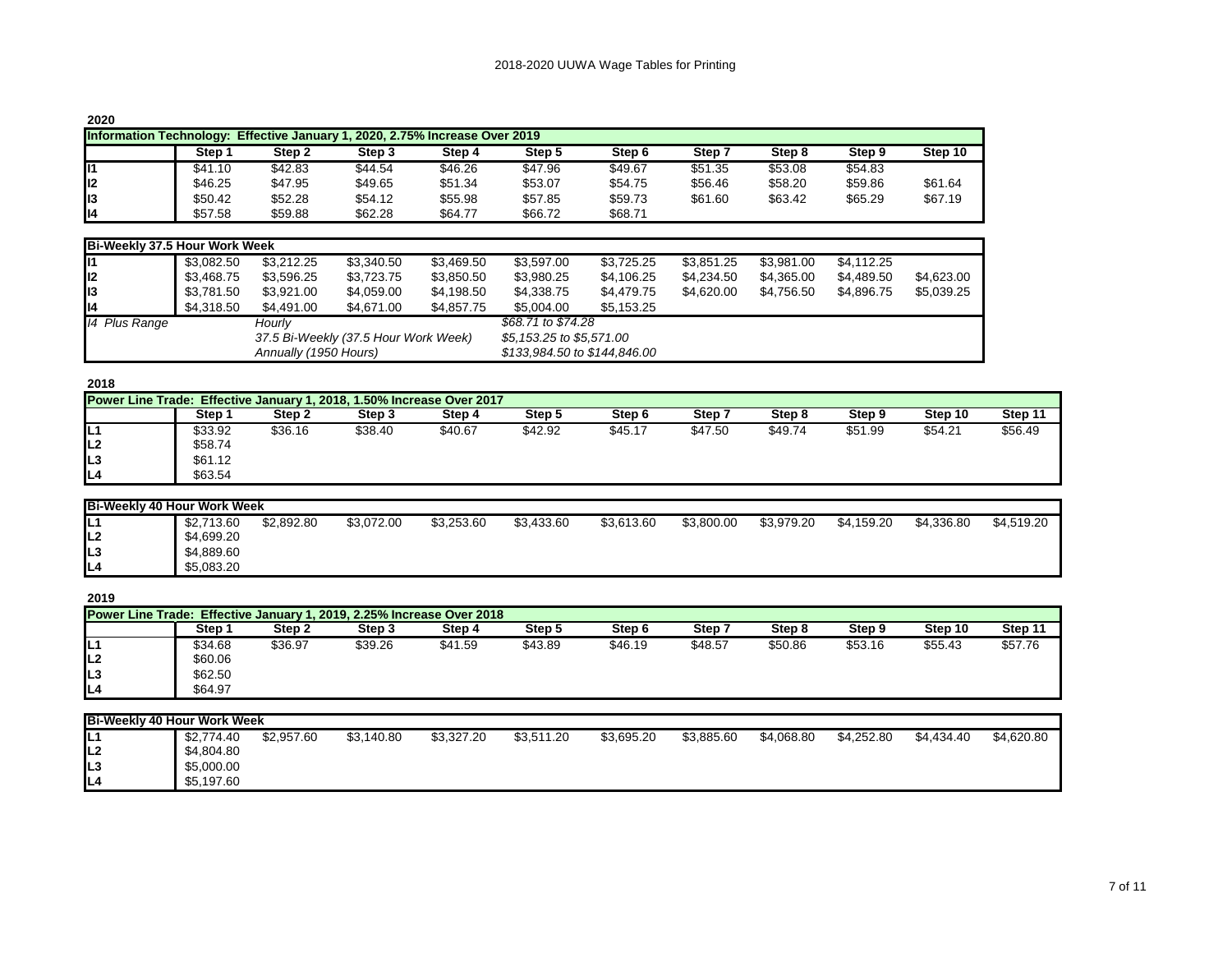| ۰. |  |
|----|--|
|----|--|

| ∼∽∽             |                                                                                       |         |         |         |         |                   |         |         |         |         |  |  |  |  |
|-----------------|---------------------------------------------------------------------------------------|---------|---------|---------|---------|-------------------|---------|---------|---------|---------|--|--|--|--|
|                 | <b>Information Technology:</b><br>Effective January 1, 2020, 2.75% Increase Over 2019 |         |         |         |         |                   |         |         |         |         |  |  |  |  |
|                 | Step                                                                                  | Step 2  | Step 3  | Step 4  | Step 5  | Step <sub>6</sub> | Step 7  | Step 8  | Step 9  | Step 10 |  |  |  |  |
| lı1             | \$41.10                                                                               | \$42.83 | \$44.54 | \$46.26 | \$47.96 | \$49.67           | \$51.35 | \$53.08 | \$54.83 |         |  |  |  |  |
| II <sub>2</sub> | \$46.25                                                                               | \$47.95 | \$49.65 | \$51.34 | \$53.07 | \$54.75           | \$56.46 | \$58.20 | \$59.86 | \$61.64 |  |  |  |  |
| II3             | \$50.42                                                                               | \$52.28 | \$54.12 | \$55.98 | \$57.85 | \$59.73           | \$61.60 | \$63.42 | \$65.29 | \$67.19 |  |  |  |  |
| ll4             | \$57.58                                                                               | \$59.88 | \$62.28 | \$64.77 | \$66.72 | \$68.71           |         |         |         |         |  |  |  |  |

|                 | <b>Bi-Weekly 37.5 Hour Work Week</b> |            |                       |                                      |            |                              |            |            |            |            |            |  |  |  |  |
|-----------------|--------------------------------------|------------|-----------------------|--------------------------------------|------------|------------------------------|------------|------------|------------|------------|------------|--|--|--|--|
| T11             |                                      | \$3.082.50 | \$3,212.25            | \$3,340.50                           | \$3,469.50 | \$3.597.00                   | \$3,725.25 | \$3,851.25 | \$3,981.00 | \$4,112.25 |            |  |  |  |  |
| I <sub>12</sub> |                                      | \$3.468.75 | \$3,596.25            | \$3,723.75                           | \$3,850.50 | \$3,980.25                   | \$4,106.25 | \$4,234.50 | \$4,365.00 | \$4,489.50 | \$4,623.00 |  |  |  |  |
| II3             |                                      | \$3.781.50 | \$3,921.00            | \$4,059.00                           | \$4,198.50 | \$4,338.75                   | \$4,479.75 | \$4,620.00 | \$4.756.50 | \$4.896.75 | \$5,039.25 |  |  |  |  |
| II4             |                                      | \$4.318.50 | \$4,491.00            | \$4,671,00                           | \$4,857.75 | \$5,004.00                   | \$5.153.25 |            |            |            |            |  |  |  |  |
|                 | 14 Plus Range                        |            | Hourlv                |                                      |            | \$68.71 to \$74.28           |            |            |            |            |            |  |  |  |  |
|                 |                                      |            |                       | 37.5 Bi-Weekly (37.5 Hour Work Week) |            | \$5,153.25 to \$5,571.00     |            |            |            |            |            |  |  |  |  |
|                 |                                      |            | Annually (1950 Hours) |                                      |            | \$133,984.50 to \$144,846.00 |            |            |            |            |            |  |  |  |  |

| Step 1  | Step 2  | Step 3  | Step 4  | Step 5  | Step 6                                                                | Step 7  | Step 8  | Step 9  | Step 10 | Step 11 |
|---------|---------|---------|---------|---------|-----------------------------------------------------------------------|---------|---------|---------|---------|---------|
| \$33.92 | \$36.16 | \$38.40 | \$40.67 | \$42.92 | \$45.17                                                               | \$47.50 | \$49.74 | \$51.99 | \$54.21 | \$56.49 |
| \$58.74 |         |         |         |         |                                                                       |         |         |         |         |         |
| \$61.12 |         |         |         |         |                                                                       |         |         |         |         |         |
| \$63.54 |         |         |         |         |                                                                       |         |         |         |         |         |
|         |         |         |         |         | Power Line Trade: Effective January 1, 2018, 1.50% Increase Over 2017 |         |         |         |         |         |

| <b>Bi-Weekly 40 Hour Work Week</b> |            |            |            |            |            |            |            |            |            |            |            |  |
|------------------------------------|------------|------------|------------|------------|------------|------------|------------|------------|------------|------------|------------|--|
| IĽ                                 | \$2,713.60 | \$2.892.80 | \$3,072.00 | \$3,253.60 | \$3,433.60 | \$3,613.60 | \$3,800.00 | \$3,979.20 | \$4,159.20 | \$4.336.80 | \$4,519.20 |  |
| IL2                                | \$4,699.20 |            |            |            |            |            |            |            |            |            |            |  |
| IL3                                | \$4,889.60 |            |            |            |            |            |            |            |            |            |            |  |
| IL4                                | \$5,083.20 |            |            |            |            |            |            |            |            |            |            |  |

| ۰. | I<br>۰. |
|----|---------|
|----|---------|

| ----                                                                  |         |         |         |         |         |         |         |         |         |         |         |  |  |
|-----------------------------------------------------------------------|---------|---------|---------|---------|---------|---------|---------|---------|---------|---------|---------|--|--|
| Power Line Trade: Effective January 1, 2019, 2.25% Increase Over 2018 |         |         |         |         |         |         |         |         |         |         |         |  |  |
|                                                                       | Step 1  | Step 2  | Step 3  | Step 4  | Step 5  | Step 6  | Step:   | Step 8  | Step 9  | Step 10 | Step 11 |  |  |
| IL1                                                                   | \$34.68 | \$36.97 | \$39.26 | \$41.59 | \$43.89 | \$46.19 | \$48.57 | \$50.86 | \$53.16 | \$55.43 | \$57.76 |  |  |
| ll2                                                                   | \$60.06 |         |         |         |         |         |         |         |         |         |         |  |  |
| L <sub>3</sub>                                                        | \$62.50 |         |         |         |         |         |         |         |         |         |         |  |  |
| IL4                                                                   | \$64.97 |         |         |         |         |         |         |         |         |         |         |  |  |

| <b>Bi-Weekly 40 Hour Work Week</b> |            |            |            |            |            |            |            |            |            |            |            |
|------------------------------------|------------|------------|------------|------------|------------|------------|------------|------------|------------|------------|------------|
| IL1                                | \$2,774.40 | \$2.957.60 | \$3,140.80 | \$3,327.20 | \$3,511.20 | \$3,695.20 | \$3,885.60 | \$4.068.80 | \$4,252.80 | \$4,434.40 | \$4,620.80 |
| IL <sub>2</sub>                    | \$4,804.80 |            |            |            |            |            |            |            |            |            |            |
| IL3                                | \$5,000.00 |            |            |            |            |            |            |            |            |            |            |
| IL4                                | \$5,197.60 |            |            |            |            |            |            |            |            |            |            |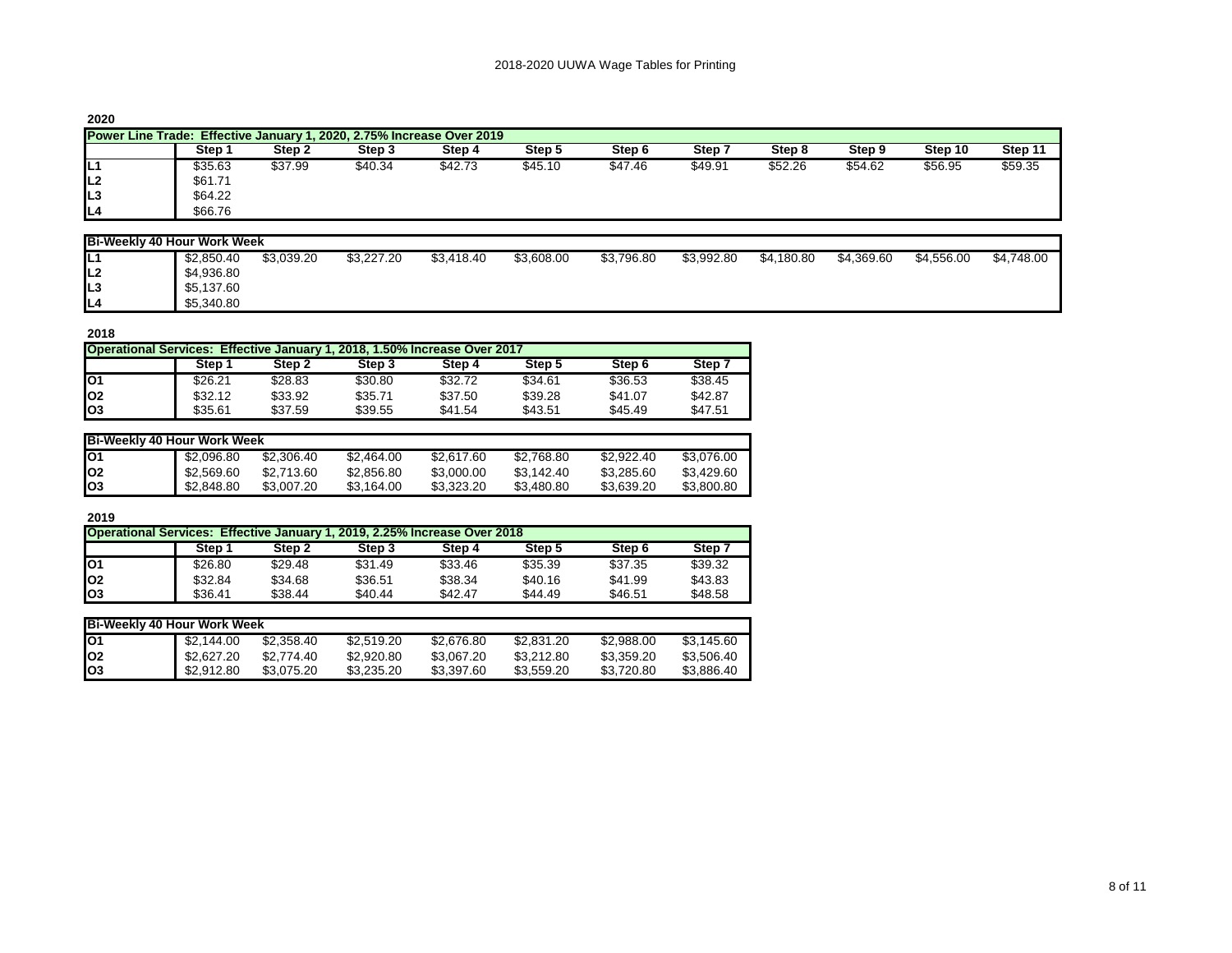| I |  |
|---|--|
|---|--|

| <b>Power Line Trade: Effective January 1, 2020, 2.75% Increase Over 2019</b> |            |            |            |            |            |            |            |            |            |            |            |
|------------------------------------------------------------------------------|------------|------------|------------|------------|------------|------------|------------|------------|------------|------------|------------|
|                                                                              | Step 1     | Step 2     | Step 3     | Step 4     | Step 5     | Step 6     | Step 7     | Step 8     | Step 9     | Step 10    | Step 11    |
| IL1                                                                          | \$35.63    | \$37.99    | \$40.34    | \$42.73    | \$45.10    | \$47.46    | \$49.91    | \$52.26    | \$54.62    | \$56.95    | \$59.35    |
| IL <sub>2</sub>                                                              | \$61.71    |            |            |            |            |            |            |            |            |            |            |
| IL <sub>3</sub>                                                              | \$64.22    |            |            |            |            |            |            |            |            |            |            |
| IL4                                                                          | \$66.76    |            |            |            |            |            |            |            |            |            |            |
|                                                                              |            |            |            |            |            |            |            |            |            |            |            |
| <b>Bi-Weekly 40 Hour Work Week</b>                                           |            |            |            |            |            |            |            |            |            |            |            |
| IL1                                                                          | \$2,850.40 | \$3,039.20 | \$3,227.20 | \$3,418.40 | \$3,608.00 | \$3,796.80 | \$3,992.80 | \$4,180.80 | \$4,369.60 | \$4,556.00 | \$4,748.00 |
| IL <sub>2</sub>                                                              | \$4,936.80 |            |            |            |            |            |            |            |            |            |            |
| IL3                                                                          | \$5,137.60 |            |            |            |            |            |            |            |            |            |            |
| IL4                                                                          | \$5,340.80 |            |            |            |            |            |            |            |            |            |            |

| 2018                                                                      |         |         |         |         |         |         |         |  |  |  |  |
|---------------------------------------------------------------------------|---------|---------|---------|---------|---------|---------|---------|--|--|--|--|
| Operational Services: Effective January 1, 2018, 1.50% Increase Over 2017 |         |         |         |         |         |         |         |  |  |  |  |
|                                                                           | Step 1  | Step 2  | Step 3  | Step 4  | Step 5  | Step 6  | Step 7  |  |  |  |  |
| lO <sub>1</sub>                                                           | \$26.21 | \$28.83 | \$30.80 | \$32.72 | \$34.61 | \$36.53 | \$38.45 |  |  |  |  |
| lo <sub>2</sub>                                                           | \$32.12 | \$33.92 | \$35.71 | \$37.50 | \$39.28 | \$41.07 | \$42.87 |  |  |  |  |
| lo <sub>3</sub>                                                           | \$35.61 | \$37.59 | \$39.55 | \$41.54 | \$43.51 | \$45.49 | \$47.51 |  |  |  |  |

|                 | Bi-Weekly 40 Hour Work Week |            |            |            |            |            |            |  |  |  |  |  |
|-----------------|-----------------------------|------------|------------|------------|------------|------------|------------|--|--|--|--|--|
| IO1             | \$2.096.80                  | \$2,306.40 | \$2.464.00 | \$2,617.60 | \$2.768.80 | \$2.922.40 | \$3.076.00 |  |  |  |  |  |
| lO2             | \$2.569.60                  | \$2.713.60 | \$2.856.80 | \$3,000.00 | \$3.142.40 | \$3.285.60 | \$3.429.60 |  |  |  |  |  |
| lO <sub>3</sub> | \$2,848.80                  | \$3,007.20 | \$3.164.00 | \$3.323.20 | \$3.480.80 | \$3.639.20 | \$3,800.80 |  |  |  |  |  |

|                 | Step 1  | Step 2  | Step 3  | Step 4  | Step 5  | Step 6  | Step :  |
|-----------------|---------|---------|---------|---------|---------|---------|---------|
| lO <sub>1</sub> | \$26.80 | \$29.48 | \$31.49 | \$33.46 | \$35.39 | \$37.35 | \$39.32 |
| lo <sub>2</sub> | \$32.84 | \$34.68 | \$36.51 | \$38.34 | \$40.16 | \$41.99 | \$43.83 |
| $\log$          | \$36.41 | \$38.44 | \$40.44 | \$42.47 | \$44.49 | \$46.51 | \$48.58 |

| Bi-Weekly 40 Hour Work Week |            |            |            |            |            |            |            |  |  |  |  |
|-----------------------------|------------|------------|------------|------------|------------|------------|------------|--|--|--|--|
| lO1                         | \$2.144.00 | \$2.358.40 | \$2.519.20 | \$2,676.80 | \$2,831.20 | \$2.988.00 | \$3.145.60 |  |  |  |  |
| lo2                         | \$2.627.20 | \$2.774.40 | \$2,920.80 | \$3.067.20 | \$3.212.80 | \$3.359.20 | \$3.506.40 |  |  |  |  |
| lo3                         | \$2,912.80 | \$3.075.20 | \$3.235.20 | \$3,397.60 | \$3.559.20 | \$3.720.80 | \$3.886.40 |  |  |  |  |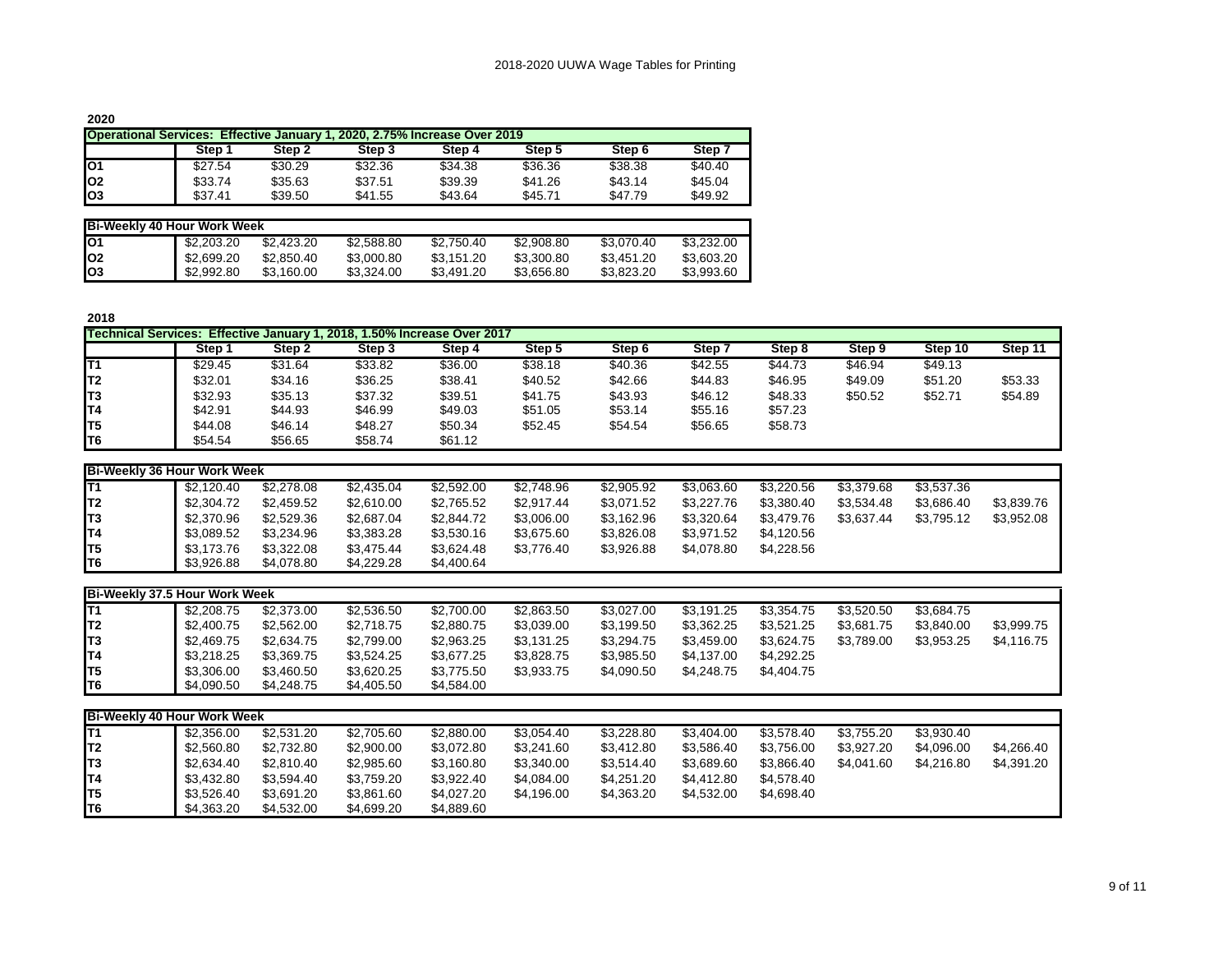|           | <b>Operational Services: Effective January 1, 2020, 2.75% Increase Over 2019</b> |            |            |            |            |            |            |  |  |  |  |  |
|-----------|----------------------------------------------------------------------------------|------------|------------|------------|------------|------------|------------|--|--|--|--|--|
|           | Step 1                                                                           | Step 2     | Step 3     | Step 4     | Step 5     | Step 6     | Step 7     |  |  |  |  |  |
| lO1       | \$27.54                                                                          | \$30.29    | \$32.36    | \$34.38    | \$36.36    | \$38.38    | \$40.40    |  |  |  |  |  |
| <b>O2</b> | \$33.74                                                                          | \$35.63    | \$37.51    | \$39.39    | \$41.26    | \$43.14    | \$45.04    |  |  |  |  |  |
| lO3       | \$37.41                                                                          | \$39.50    | \$41.55    | \$43.64    | \$45.71    | \$47.79    | \$49.92    |  |  |  |  |  |
|           |                                                                                  |            |            |            |            |            |            |  |  |  |  |  |
|           | <b>Bi-Weekly 40 Hour Work Week</b>                                               |            |            |            |            |            |            |  |  |  |  |  |
| IO1       | \$2,203,20                                                                       | \$2,423.20 | \$2,588.80 | \$2,750.40 | \$2,908.80 | \$3,070.40 | \$3,232,00 |  |  |  |  |  |
| <b>O2</b> | \$2,699.20                                                                       | \$2,850.40 | \$3,000.80 | \$3,151.20 | \$3,300.80 | \$3,451,20 | \$3,603.20 |  |  |  |  |  |
| lO3       | \$2,992.80                                                                       | \$3,160.00 | \$3.324.00 | \$3,491.20 | \$3,656.80 | \$3.823.20 | \$3,993.60 |  |  |  |  |  |

|                 | Technical Services: Effective January 1, 2018, 1.50% Increase Over 2017 |         |         |         |         |         |         |         |         |         |         |
|-----------------|-------------------------------------------------------------------------|---------|---------|---------|---------|---------|---------|---------|---------|---------|---------|
|                 | Step 1                                                                  | Step 2  | Step 3  | Step 4  | Step 5  | Step 6  | Step 7  | Step 8  | Step 9  | Step 10 | Step 11 |
| lT1             | \$29.45                                                                 | \$31.64 | \$33.82 | \$36.00 | \$38.18 | \$40.36 | \$42.55 | \$44.73 | \$46.94 | \$49.13 |         |
| IT <sub>2</sub> | \$32.01                                                                 | \$34.16 | \$36.25 | \$38.41 | \$40.52 | \$42.66 | \$44.83 | \$46.95 | \$49.09 | \$51.20 | \$53.33 |
| IT3             | \$32.93                                                                 | \$35.13 | \$37.32 | \$39.51 | \$41.75 | \$43.93 | \$46.12 | \$48.33 | \$50.52 | \$52.71 | \$54.89 |
| IT4             | \$42.91                                                                 | \$44.93 | \$46.99 | \$49.03 | \$51.05 | \$53.14 | \$55.16 | \$57.23 |         |         |         |
| IT5             | \$44.08                                                                 | \$46.14 | \$48.27 | \$50.34 | \$52.45 | \$54.54 | \$56.65 | \$58.73 |         |         |         |
| IT6             | \$54.54                                                                 | \$56.65 | \$58.74 | \$61.12 |         |         |         |         |         |         |         |

| Bi-Weekly 36 Hour Work Week |            |            |            |            |            |            |            |            |            |            |            |
|-----------------------------|------------|------------|------------|------------|------------|------------|------------|------------|------------|------------|------------|
| T1                          | \$2.120.40 | \$2,278.08 | \$2,435.04 | \$2,592.00 | \$2.748.96 | \$2,905.92 | \$3.063.60 | \$3,220.56 | \$3,379.68 | \$3,537,36 |            |
| T <sub>2</sub>              | \$2,304.72 | \$2,459.52 | \$2,610.00 | \$2,765.52 | \$2.917.44 | \$3,071.52 | \$3.227.76 | \$3.380.40 | \$3.534.48 | \$3.686.40 | \$3,839.76 |
| T <sub>3</sub>              | \$2,370.96 | \$2,529.36 | \$2,687.04 | \$2.844.72 | \$3,006.00 | \$3,162.96 | \$3.320.64 | \$3.479.76 | \$3.637.44 | \$3,795.12 | \$3,952.08 |
| T4                          | \$3.089.52 | \$3,234.96 | \$3,383.28 | \$3.530.16 | \$3,675,60 | \$3,826,08 | \$3.971.52 | \$4.120.56 |            |            |            |
| T5                          | \$3.173.76 | \$3,322.08 | \$3,475.44 | \$3,624.48 | \$3.776.40 | \$3,926.88 | \$4.078.80 | \$4,228,56 |            |            |            |
| T <sub>6</sub>              | \$3,926.88 | \$4,078.80 | \$4,229.28 | \$4,400.64 |            |            |            |            |            |            |            |

| Bi-Weekly 37.5 Hour Work Week |            |            |            |            |            |            |            |            |            |            |            |
|-------------------------------|------------|------------|------------|------------|------------|------------|------------|------------|------------|------------|------------|
| IT1                           | \$2,208,75 | \$2,373,00 | \$2.536.50 | \$2,700.00 | \$2,863.50 | \$3.027.00 | \$3.191.25 | \$3.354.75 | \$3.520.50 | \$3.684.75 |            |
| IT2                           | \$2.400.75 | \$2.562.00 | \$2.718.75 | \$2,880.75 | \$3.039.00 | \$3.199.50 | \$3.362.25 | \$3.521.25 | \$3.681.75 | \$3.840.00 | \$3.999.75 |
| IT3                           | \$2.469.75 | \$2.634.75 | \$2.799.00 | \$2,963.25 | \$3,131.25 | \$3.294.75 | \$3.459.00 | \$3.624.75 | \$3.789.00 | \$3.953.25 | \$4.116.75 |
| IT4                           | \$3,218.25 | \$3,369.75 | \$3.524.25 | \$3,677.25 | \$3,828.75 | \$3.985.50 | \$4.137.00 | \$4,292.25 |            |            |            |
| IT5                           | \$3.306.00 | \$3.460.50 | \$3.620.25 | \$3,775.50 | \$3.933.75 | \$4.090.50 | \$4,248,75 | \$4.404.75 |            |            |            |
| IT6                           | \$4,090.50 | \$4.248.75 | \$4,405.50 | \$4,584.00 |            |            |            |            |            |            |            |

| <b>Bi-Weekly 40 Hour Work Week</b> |            |            |            |            |            |            |            |            |            |            |            |
|------------------------------------|------------|------------|------------|------------|------------|------------|------------|------------|------------|------------|------------|
| IT1                                | \$2,356,00 | \$2,531.20 | \$2,705.60 | \$2,880.00 | \$3.054.40 | \$3.228.80 | \$3.404.00 | \$3.578.40 | \$3.755.20 | \$3.930.40 |            |
| T2                                 | \$2,560.80 | \$2.732.80 | \$2,900.00 | \$3.072.80 | \$3,241.60 | \$3.412.80 | \$3,586.40 | \$3.756.00 | \$3.927.20 | \$4.096.00 | \$4,266,40 |
| IT3                                | \$2.634.40 | \$2.810.40 | \$2,985.60 | \$3,160.80 | \$3,340.00 | \$3.514.40 | \$3,689.60 | \$3,866.40 | \$4.041.60 | \$4.216.80 | \$4,391.20 |
| IT4                                | \$3.432.80 | \$3.594.40 | \$3,759.20 | \$3,922.40 | \$4.084.00 | \$4.251.20 | \$4.412.80 | \$4,578,40 |            |            |            |
| T5                                 | \$3.526.40 | \$3.691.20 | \$3.861.60 | \$4,027.20 | \$4.196.00 | \$4,363.20 | \$4,532.00 | \$4,698,40 |            |            |            |
| <b>T</b> 6                         | \$4,363.20 | \$4.532.00 | \$4,699.20 | \$4,889.60 |            |            |            |            |            |            |            |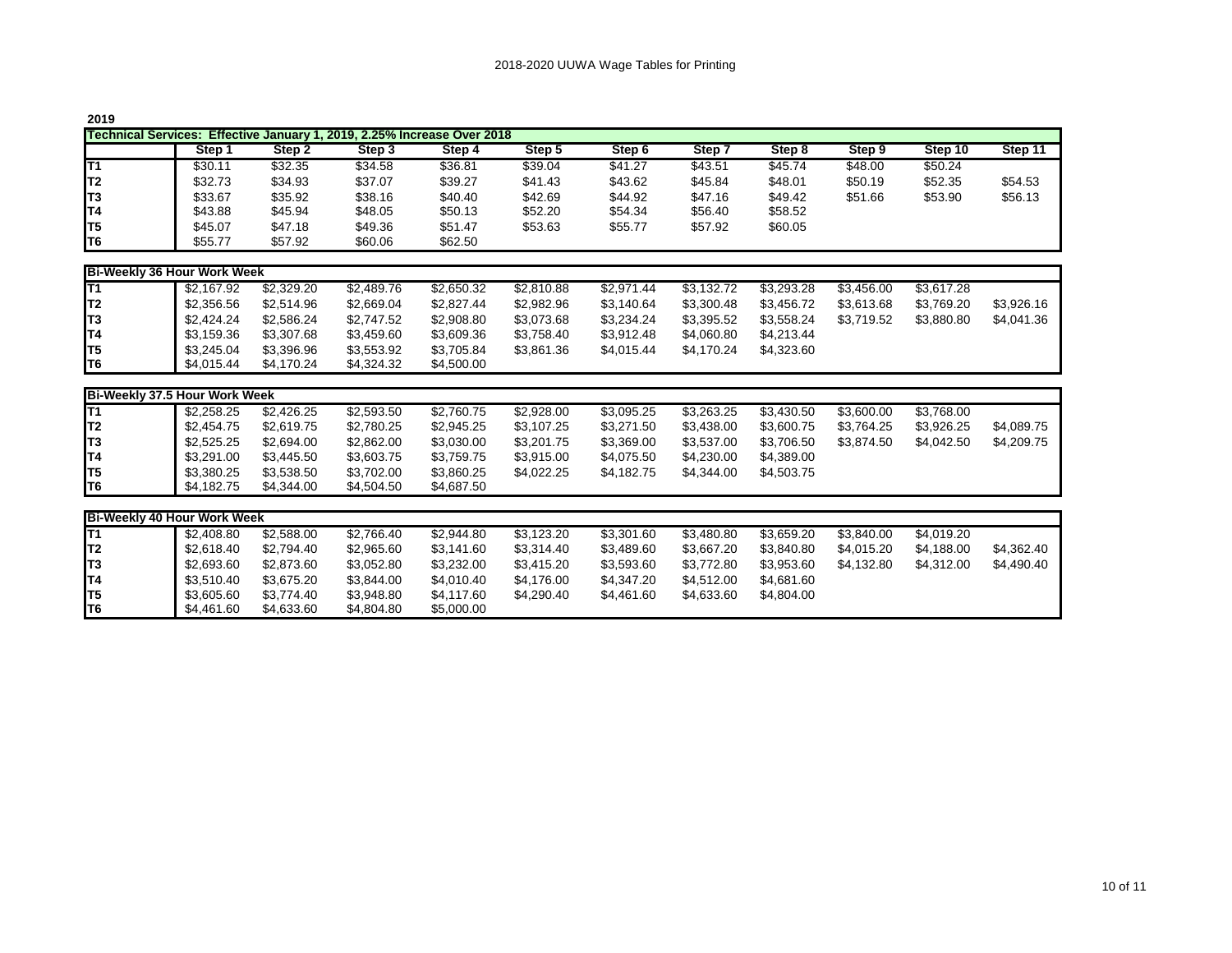| ٧<br>۰. |  |
|---------|--|
|---------|--|

| ---- |                                                                         |         |         |         |         |         |         |         |         |         |         |  |
|------|-------------------------------------------------------------------------|---------|---------|---------|---------|---------|---------|---------|---------|---------|---------|--|
|      | Technical Services: Effective January 1, 2019, 2.25% Increase Over 2018 |         |         |         |         |         |         |         |         |         |         |  |
|      | Step 1                                                                  | Step 2  | Step 3  | Step 4  | Step 5  | Step 6  | Step 7  | Step 8  | Step 9  | Step 10 | Step 11 |  |
| T1   | \$30.11                                                                 | \$32.35 | \$34.58 | \$36.81 | \$39.04 | \$41.27 | \$43.51 | \$45.74 | \$48.00 | \$50.24 |         |  |
| IT2  | \$32.73                                                                 | \$34.93 | \$37.07 | \$39.27 | \$41.43 | \$43.62 | \$45.84 | \$48.01 | \$50.19 | \$52.35 | \$54.53 |  |
| IT3  | \$33.67                                                                 | \$35.92 | \$38.16 | \$40.40 | \$42.69 | \$44.92 | \$47.16 | \$49.42 | \$51.66 | \$53.90 | \$56.13 |  |
| IT4  | \$43.88                                                                 | \$45.94 | \$48.05 | \$50.13 | \$52.20 | \$54.34 | \$56.40 | \$58.52 |         |         |         |  |
| IT5  | \$45.07                                                                 | \$47.18 | \$49.36 | \$51.47 | \$53.63 | \$55.77 | \$57.92 | \$60.05 |         |         |         |  |
| IT6  | \$55.77                                                                 | \$57.92 | \$60.06 | \$62.50 |         |         |         |         |         |         |         |  |

|                 | Bi-Weekly 36 Hour Work Week |            |            |            |            |            |            |            |            |            |            |  |
|-----------------|-----------------------------|------------|------------|------------|------------|------------|------------|------------|------------|------------|------------|--|
| T1              | \$2.167.92                  | \$2,329.20 | \$2,489.76 | \$2,650.32 | \$2.810.88 | \$2,971.44 | \$3.132.72 | \$3.293.28 | \$3.456.00 | \$3.617.28 |            |  |
| <sup>1</sup> T2 | \$2,356.56                  | \$2,514.96 | \$2,669.04 | \$2,827.44 | \$2,982.96 | \$3,140.64 | \$3,300.48 | \$3.456.72 | \$3.613.68 | \$3.769.20 | \$3.926.16 |  |
| T <sub>3</sub>  | \$2.424.24                  | \$2,586,24 | \$2,747.52 | \$2,908.80 | \$3,073.68 | \$3,234.24 | \$3.395.52 | \$3.558.24 | \$3.719.52 | \$3.880.80 | \$4.041.36 |  |
| T4              | \$3,159.36                  | \$3,307.68 | \$3,459.60 | \$3,609.36 | \$3,758.40 | \$3,912.48 | \$4,060.80 | \$4,213.44 |            |            |            |  |
| T5              | \$3.245.04                  | \$3.396.96 | \$3.553.92 | \$3.705.84 | \$3.861.36 | \$4.015.44 | \$4.170.24 | \$4.323.60 |            |            |            |  |
| T6              | \$4,015.44                  | \$4.170.24 | \$4,324.32 | \$4,500.00 |            |            |            |            |            |            |            |  |

| Bi-Weekly 37.5 Hour Work Week |            |            |            |            |            |            |            |            |            |            |            |
|-------------------------------|------------|------------|------------|------------|------------|------------|------------|------------|------------|------------|------------|
| IT1                           | \$2,258.25 | \$2,426.25 | \$2,593.50 | \$2,760.75 | \$2,928.00 | \$3,095.25 | \$3,263.25 | \$3,430.50 | \$3,600.00 | \$3,768.00 |            |
| IT2                           | \$2.454.75 | \$2,619.75 | \$2,780.25 | \$2,945.25 | \$3.107.25 | \$3,271.50 | \$3,438.00 | \$3,600.75 | \$3.764.25 | \$3,926.25 | \$4,089.75 |
| IT3                           | \$2,525.25 | \$2,694.00 | \$2,862.00 | \$3,030.00 | \$3,201.75 | \$3,369.00 | \$3,537.00 | \$3,706.50 | \$3,874.50 | \$4,042.50 | \$4,209.75 |
| IT4                           | \$3,291.00 | \$3,445.50 | \$3,603.75 | \$3,759.75 | \$3,915.00 | \$4,075.50 | \$4,230.00 | \$4,389.00 |            |            |            |
| IT5                           | \$3,380.25 | \$3,538.50 | \$3.702.00 | \$3,860.25 | \$4,022.25 | \$4,182.75 | \$4,344.00 | \$4,503.75 |            |            |            |
| IT6                           | \$4.182.75 | \$4,344.00 | \$4,504.50 | \$4,687.50 |            |            |            |            |            |            |            |
|                               |            |            |            |            |            |            |            |            |            |            |            |
| Bi-Weekly 40 Hour Work Week   |            |            |            |            |            |            |            |            |            |            |            |
| IT1                           | \$2,408.80 | \$2,588.00 | \$2,766.40 | \$2,944.80 | \$3,123.20 | \$3,301.60 | \$3,480.80 | \$3,659.20 | \$3,840.00 | \$4,019.20 |            |
| IT2                           | \$2.618.40 | \$2.794.40 | \$2.965.60 | \$3.141.60 | \$3.314.40 | \$3,489.60 | \$3,667.20 | \$3,840.80 | \$4,015.20 | \$4.188.00 | \$4,362.40 |
| lT3                           | \$2,693.60 | \$2,873.60 | \$3.052.80 | \$3,232.00 | \$3,415.20 | \$3,593.60 | \$3,772.80 | \$3,953.60 | \$4,132.80 | \$4,312.00 | \$4,490.40 |
| IT4                           | \$3.510.40 | \$3.675.20 | \$3.844.00 | \$4,010.40 | \$4.176.00 | \$4.347.20 | \$4,512.00 | \$4,681.60 |            |            |            |
|                               |            |            |            |            |            |            |            |            |            |            |            |
| lT5                           | \$3,605.60 | \$3,774.40 | \$3,948.80 | \$4,117.60 | \$4,290.40 | \$4,461.60 | \$4,633.60 | \$4,804.00 |            |            |            |